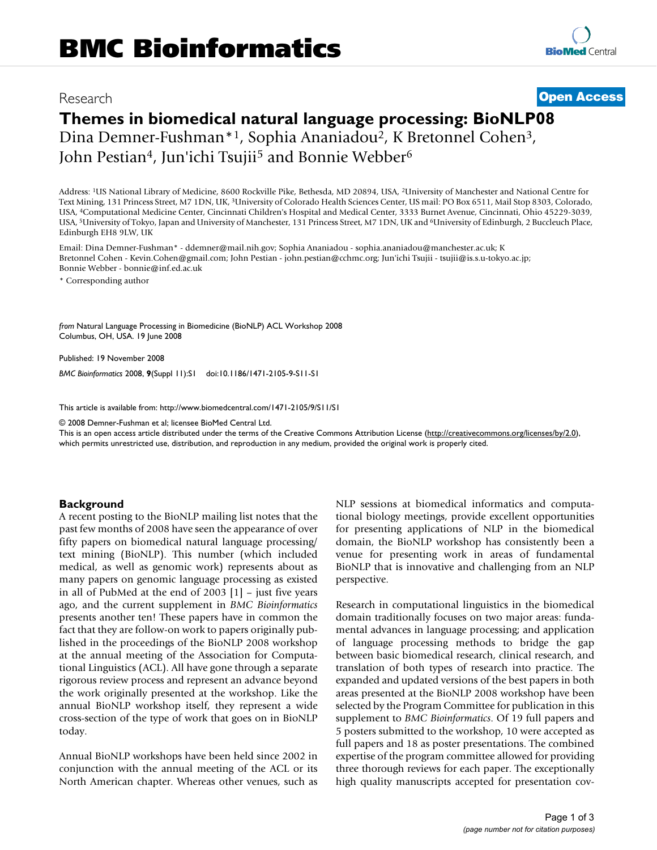## Research **[Open Access](http://www.biomedcentral.com/info/about/charter/)**

# **Themes in biomedical natural language processing: BioNLP08** Dina Demner-Fushman\*1, Sophia Ananiadou2, K Bretonnel Cohen3, John Pestian<sup>4</sup>, Jun'ichi Tsujii<sup>5</sup> and Bonnie Webber<sup>6</sup>

Address: 1US National Library of Medicine, 8600 Rockville Pike, Bethesda, MD 20894, USA, 2University of Manchester and National Centre for Text Mining, 131 Princess Street, M7 1DN, UK, 3University of Colorado Health Sciences Center, US mail: PO Box 6511, Mail Stop 8303, Colorado, USA, 4Computational Medicine Center, Cincinnati Children's Hospital and Medical Center, 3333 Burnet Avenue, Cincinnati, Ohio 45229-3039, USA, 5University of Tokyo, Japan and University of Manchester, 131 Princess Street, M7 1DN, UK and 6University of Edinburgh, 2 Buccleuch Place, Edinburgh EH8 9LW, UK

Email: Dina Demner-Fushman\* - ddemner@mail.nih.gov; Sophia Ananiadou - sophia.ananiadou@manchester.ac.uk; K Bretonnel Cohen - Kevin.Cohen@gmail.com; John Pestian - john.pestian@cchmc.org; Jun'ichi Tsujii - tsujii@is.s.u-tokyo.ac.jp; Bonnie Webber - bonnie@inf.ed.ac.uk

\* Corresponding author

*from* Natural Language Processing in Biomedicine (BioNLP) ACL Workshop 2008 Columbus, OH, USA. 19 June 2008

Published: 19 November 2008

*BMC Bioinformatics* 2008, **9**(Suppl 11):S1 doi:10.1186/1471-2105-9-S11-S1

[This article is available from: http://www.biomedcentral.com/1471-2105/9/S11/S1](http://www.biomedcentral.com/1471-2105/9/S11/S1)

© 2008 Demner-Fushman et al; licensee BioMed Central Ltd.

This is an open access article distributed under the terms of the Creative Commons Attribution License [\(http://creativecommons.org/licenses/by/2.0\)](http://creativecommons.org/licenses/by/2.0), which permits unrestricted use, distribution, and reproduction in any medium, provided the original work is properly cited.

#### **Background**

A recent posting to the BioNLP mailing list notes that the past few months of 2008 have seen the appearance of over fifty papers on biomedical natural language processing/ text mining (BioNLP). This number (which included medical, as well as genomic work) represents about as many papers on genomic language processing as existed in all of PubMed at the end of 2003 [1] – just five years ago, and the current supplement in *BMC Bioinformatics* presents another ten! These papers have in common the fact that they are follow-on work to papers originally published in the proceedings of the BioNLP 2008 workshop at the annual meeting of the Association for Computational Linguistics (ACL). All have gone through a separate rigorous review process and represent an advance beyond the work originally presented at the workshop. Like the annual BioNLP workshop itself, they represent a wide cross-section of the type of work that goes on in BioNLP today.

Annual BioNLP workshops have been held since 2002 in conjunction with the annual meeting of the ACL or its North American chapter. Whereas other venues, such as NLP sessions at biomedical informatics and computational biology meetings, provide excellent opportunities for presenting applications of NLP in the biomedical domain, the BioNLP workshop has consistently been a venue for presenting work in areas of fundamental BioNLP that is innovative and challenging from an NLP perspective.

Research in computational linguistics in the biomedical domain traditionally focuses on two major areas: fundamental advances in language processing; and application of language processing methods to bridge the gap between basic biomedical research, clinical research, and translation of both types of research into practice. The expanded and updated versions of the best papers in both areas presented at the BioNLP 2008 workshop have been selected by the Program Committee for publication in this supplement to *BMC Bioinformatics*. Of 19 full papers and 5 posters submitted to the workshop, 10 were accepted as full papers and 18 as poster presentations. The combined expertise of the program committee allowed for providing three thorough reviews for each paper. The exceptionally high quality manuscripts accepted for presentation cov-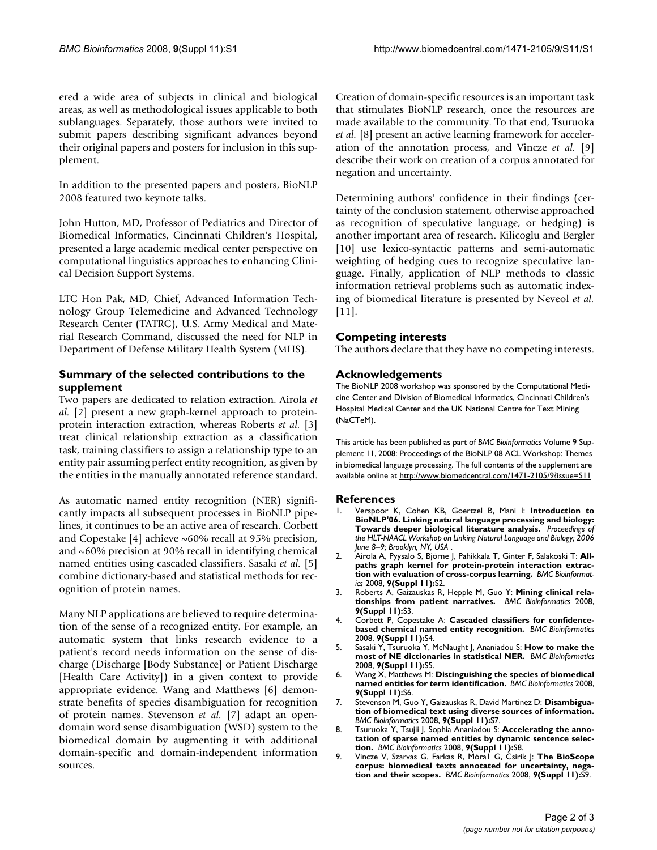ered a wide area of subjects in clinical and biological areas, as well as methodological issues applicable to both sublanguages. Separately, those authors were invited to submit papers describing significant advances beyond their original papers and posters for inclusion in this supplement.

In addition to the presented papers and posters, BioNLP 2008 featured two keynote talks.

John Hutton, MD, Professor of Pediatrics and Director of Biomedical Informatics, Cincinnati Children's Hospital, presented a large academic medical center perspective on computational linguistics approaches to enhancing Clinical Decision Support Systems.

LTC Hon Pak, MD, Chief, Advanced Information Technology Group Telemedicine and Advanced Technology Research Center (TATRC), U.S. Army Medical and Material Research Command, discussed the need for NLP in Department of Defense Military Health System (MHS).

### **Summary of the selected contributions to the supplement**

Two papers are dedicated to relation extraction. Airola *et al.* [2] present a new graph-kernel approach to proteinprotein interaction extraction, whereas Roberts *et al.* [3] treat clinical relationship extraction as a classification task, training classifiers to assign a relationship type to an entity pair assuming perfect entity recognition, as given by the entities in the manually annotated reference standard.

As automatic named entity recognition (NER) significantly impacts all subsequent processes in BioNLP pipelines, it continues to be an active area of research. Corbett and Copestake [4] achieve ~60% recall at 95% precision, and  $\sim60\%$  precision at 90% recall in identifying chemical named entities using cascaded classifiers. Sasaki *et al.* [5] combine dictionary-based and statistical methods for recognition of protein names.

Many NLP applications are believed to require determination of the sense of a recognized entity. For example, an automatic system that links research evidence to a patient's record needs information on the sense of discharge (Discharge [Body Substance] or Patient Discharge [Health Care Activity]) in a given context to provide appropriate evidence. Wang and Matthews [6] demonstrate benefits of species disambiguation for recognition of protein names. Stevenson *et al.* [7] adapt an opendomain word sense disambiguation (WSD) system to the biomedical domain by augmenting it with additional domain-specific and domain-independent information sources.

Creation of domain-specific resources is an important task that stimulates BioNLP research, once the resources are made available to the community. To that end, Tsuruoka *et al.* [8] present an active learning framework for acceleration of the annotation process, and Vincze *et al.* [9] describe their work on creation of a corpus annotated for negation and uncertainty.

Determining authors' confidence in their findings (certainty of the conclusion statement, otherwise approached as recognition of speculative language, or hedging) is another important area of research. Kilicoglu and Bergler [10] use lexico-syntactic patterns and semi-automatic weighting of hedging cues to recognize speculative language. Finally, application of NLP methods to classic information retrieval problems such as automatic indexing of biomedical literature is presented by Neveol *et al.* [11].

### **Competing interests**

The authors declare that they have no competing interests.

#### **Acknowledgements**

The BioNLP 2008 workshop was sponsored by the Computational Medicine Center and Division of Biomedical Informatics, Cincinnati Children's Hospital Medical Center and the UK National Centre for Text Mining (NaCTeM).

This article has been published as part of *BMC Bioinformatics* Volume 9 Supplement 11, 2008: Proceedings of the BioNLP 08 ACL Workshop: Themes in biomedical language processing. The full contents of the supplement are available online at<http://www.biomedcentral.com/1471-2105/9?issue=S11>

#### **References**

- 1. Verspoor K, Cohen KB, Goertzel B, Mani I: **Introduction to BioNLP'06. Linking natural language processing and biology: Towards deeper biological literature analysis.** *Proceedings of the HLT-NAACL Workshop on Linking Natural Language and Biology; 2006 June 8–9; Brooklyn, NY, USA* .
- 2. Airola A, Pyysalo S, Björne J, Pahikkala T, Ginter F, Salakoski T: **Allpaths graph kernel for protein-protein interaction extraction with evaluation of cross-corpus learning.** *BMC Bioinformatics* 2008, **9(Suppl 11):**S2.
- 3. Roberts A, Gaizauskas R, Hepple M, Guo Y: **Mining clinical relationships from patient narratives.** *BMC Bioinformatics* 2008, **9(Suppl 11):**S3.
- 4. Corbett P, Copestake A: **Cascaded classifiers for confidencebased chemical named entity recognition.** *BMC Bioinformatics* 2008, **9(Suppl 11):**S4.
- 5. Sasaki Y, Tsuruoka Y, McNaught J, Ananiadou S: **How to make the most of NE dictionaries in statistical NER.** *BMC Bioinformatics* 2008, **9(Suppl 11):**S5.
- 6. Wang X, Matthews M: **Distinguishing the species of biomedical named entities for term identification.** *BMC Bioinformatics* 2008, **9(Suppl 11):**S6.
- 7. Stevenson M, Guo Y, Gaizauskas R, David Martinez D: **Disambiguation of biomedical text using diverse sources of information.** *BMC Bioinformatics* 2008, **9(Suppl 11):**S7.
- 8. Tsuruoka Y, Tsujii J, Sophia Ananiadou S: **Accelerating the annotation of sparse named entities by dynamic sentence selection.** *BMC Bioinformatics* 2008, **9(Suppl 11):**S8.
- 9. Vincze V, Szarvas G, Farkas R, Móral G, Csirik |: The BioScope **corpus: biomedical texts annotated for uncertainty, negation and their scopes.** *BMC Bioinformatics* 2008, **9(Suppl 11):**S9.